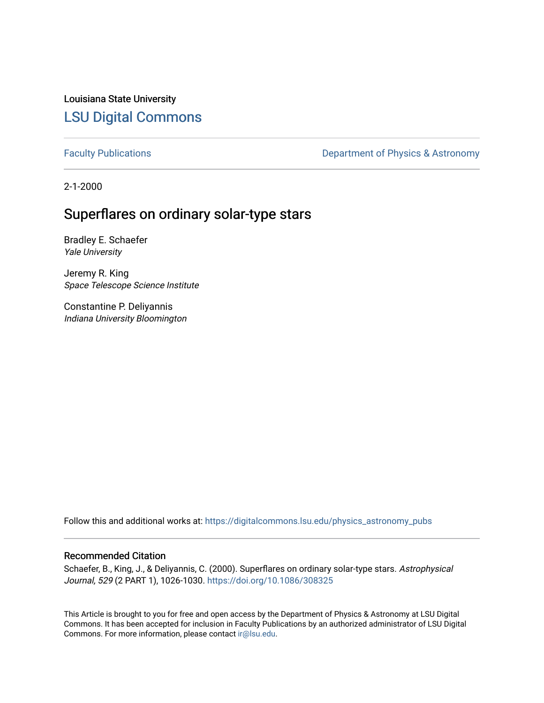Louisiana State University [LSU Digital Commons](https://digitalcommons.lsu.edu/)

[Faculty Publications](https://digitalcommons.lsu.edu/physics_astronomy_pubs) **Exercise 2** Constant Department of Physics & Astronomy

2-1-2000

# Superflares on ordinary solar-type stars

Bradley E. Schaefer Yale University

Jeremy R. King Space Telescope Science Institute

Constantine P. Deliyannis Indiana University Bloomington

Follow this and additional works at: [https://digitalcommons.lsu.edu/physics\\_astronomy\\_pubs](https://digitalcommons.lsu.edu/physics_astronomy_pubs?utm_source=digitalcommons.lsu.edu%2Fphysics_astronomy_pubs%2F4770&utm_medium=PDF&utm_campaign=PDFCoverPages) 

### Recommended Citation

Schaefer, B., King, J., & Deliyannis, C. (2000). Superflares on ordinary solar-type stars. Astrophysical Journal, 529 (2 PART 1), 1026-1030.<https://doi.org/10.1086/308325>

This Article is brought to you for free and open access by the Department of Physics & Astronomy at LSU Digital Commons. It has been accepted for inclusion in Faculty Publications by an authorized administrator of LSU Digital Commons. For more information, please contact [ir@lsu.edu](mailto:ir@lsu.edu).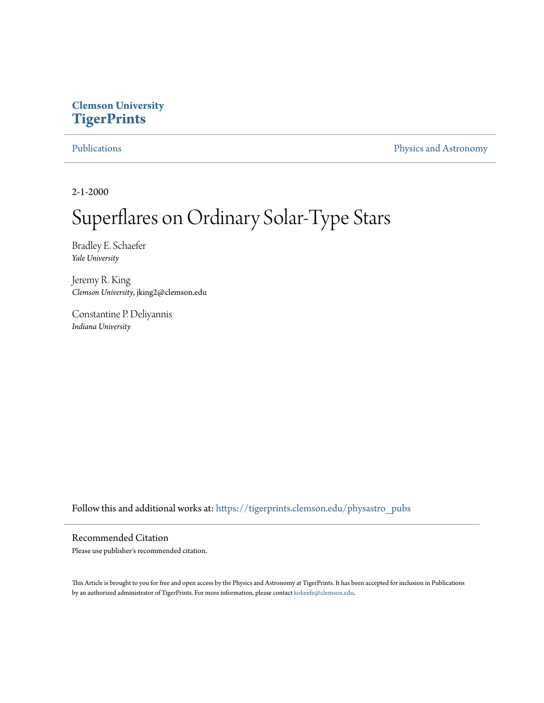## **Clemson University [TigerPrints](https://tigerprints.clemson.edu?utm_source=tigerprints.clemson.edu%2Fphysastro_pubs%2F262&utm_medium=PDF&utm_campaign=PDFCoverPages)**

[Publications](https://tigerprints.clemson.edu/physastro_pubs?utm_source=tigerprints.clemson.edu%2Fphysastro_pubs%2F262&utm_medium=PDF&utm_campaign=PDFCoverPages) [Physics and Astronomy](https://tigerprints.clemson.edu/physastro?utm_source=tigerprints.clemson.edu%2Fphysastro_pubs%2F262&utm_medium=PDF&utm_campaign=PDFCoverPages)

2-1-2000

# Superflares on Ordinary Solar-Type Stars

Bradley E. Schaefer *Yale University*

Jeremy R. King *Clemson University*, jking2@clemson.edu

Constantine P. Deliyannis *Indiana University*

Follow this and additional works at: [https://tigerprints.clemson.edu/physastro\\_pubs](https://tigerprints.clemson.edu/physastro_pubs?utm_source=tigerprints.clemson.edu%2Fphysastro_pubs%2F262&utm_medium=PDF&utm_campaign=PDFCoverPages)

#### Recommended Citation

Please use publisher's recommended citation.

This Article is brought to you for free and open access by the Physics and Astronomy at TigerPrints. It has been accepted for inclusion in Publications by an authorized administrator of TigerPrints. For more information, please contact [kokeefe@clemson.edu](mailto:kokeefe@clemson.edu).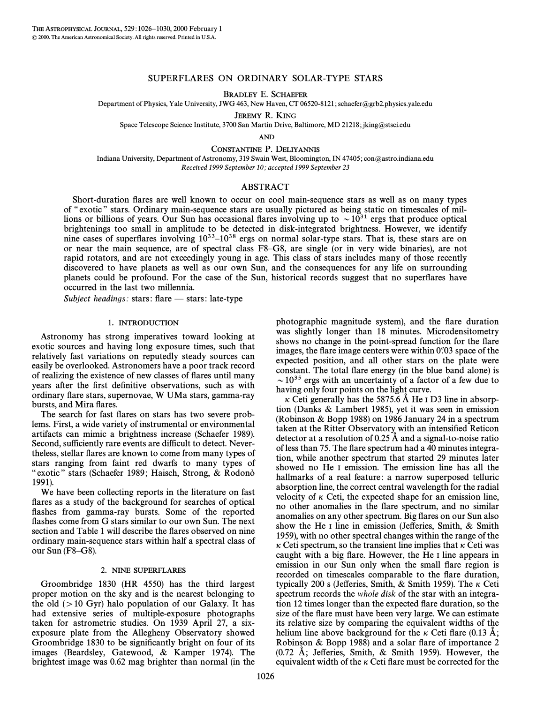#### SUPERFLARES ON ORDINARY SOLAR-TYPE STARS

BRADLEY E. SCHAEFER

Department of Physics, Yale University, JWG 463, New Haven, CT 06520-8121; schaefer@grb2.physics.yale.edu

JEREMY R. KING

Space Telescope Science Institute, 3700 San Martin Drive, Baltimore, MD 21218; jking@stsci.edu

AND

CONSTANTINE P. DELIYANNIS

Indiana University, Department of Astronomy, 319 Swain West, Bloomington, IN 47405; con@astro.indiana.edu Received 1999 September 10; accepted 1999 September 23

#### ABSTRACT

Short-duration Ñares are well known to occur on cool main-sequence stars as well as on many types of "exotic" stars. Ordinary main-sequence stars are usually pictured as being static on timescales of millions or billions of years. Our Sun has occasional flares involving up to  $\sim 10^{31}$  ergs that produce optical brightenings too small in amplitude to be detected in disk-integrated brightness. However, we identify nine cases of superflares involving  $10^{33}-10^{38}$  ergs on normal solar-type stars. That is, these stars are on or near the main sequence, are of spectral class F8–G8, are single (or in very wide binaries), are not rapid rotators, and are not exceedingly young in age. This class of stars includes many of those recently discovered to have planets as well as our own Sun, and the consequences for any life on surrounding planets could be profound. For the case of the Sun, historical records suggest that no superflares have occurred in the last two millennia.

Subject headings: stars: flare  $-$  stars: late-type

#### 1. INTRODUCTION

Astronomy has strong imperatives toward looking at exotic sources and having long exposure times, such that relatively fast variations on reputedly steady sources can easily be overlooked. Astronomers have a poor track record of realizing the existence of new classes of flares until many years after the first definitive observations, such as with ordinary flare stars, supernovae, W UMa stars, gamma-ray bursts, and Mira flares.

The search for fast flares on stars has two severe problems. First, a wide variety of instrumental or environmental artifacts can mimic a brightness increase (Schaefer 1989). Second, sufficiently rare events are difficult to detect. Nevertheless, stellar flares are known to come from many types of stars ranging from faint red dwarfs to many types of " exotic" stars (Schaefer 1989; Haisch, Strong, & Rodonò 1991).

We have been collecting reports in the literature on fast flares as a study of the background for searches of optical flashes from gamma-ray bursts. Some of the reported flashes come from G stars similar to our own Sun. The next section and Table 1 will describe the flares observed on nine ordinary main-sequence stars within half a spectral class of our Sun  $(F8–G8)$ .

#### 2. NINE SUPERFLARES

Groombridge 1830 (HR 4550) has the third largest proper motion on the sky and is the nearest belonging to the old  $(>10 \text{ Gyr})$  halo population of our Galaxy. It has had extensive series of multiple-exposure photographs taken for astrometric studies. On 1939 April 27, a sixexposure plate from the Allegheny Observatory showed Groombridge 1830 to be significantly bright on four of its images (Beardsley, Gatewood, & Kamper 1974). The brightest image was 0.62 mag brighter than normal (in the photographic magnitude system), and the flare duration was slightly longer than 18 minutes. Microdensitometry shows no change in the point-spread function for the flare images, the flare image centers were within 0.  $0.03$  space of the expected position, and all other stars on the plate were constant. The total flare energy (in the blue band alone) is  $\sim$  10<sup>35</sup> ergs with an uncertainty of a factor of a few due to having only four points on the light curve.

 $\kappa$  Ceti generally has the 5875.6 Å He I D3 line in absorption (Danks & Lambert 1985), yet it was seen in emission (Robinson & Bopp 1988) on 1986 January 24 in a spectrum taken at the Ritter Observatory with an intensified Reticon detector at a resolution of  $0.25$  Å and a signal-to-noise ratio of less than 75. The flare spectrum had a 40 minutes integration, while another spectrum that started 29 minutes later showed no He I emission. The emission line has all the hallmarks of a real feature: a narrow superposed telluric absorption line, the correct central wavelength for the radial velocity of  $\kappa$  Ceti, the expected shape for an emission line, no other anomalies in the flare spectrum, and no similar anomalies on any other spectrum. Big Ñares on our Sun also show the He I line in emission (Jefferies, Smith,  $&$  Smith 1959), with no other spectral changes within the range of the  $\kappa$  Ceti spectrum, so the transient line implies that  $\kappa$  Ceti was caught with a big flare. However, the He I line appears in emission in our Sun only when the small flare region is recorded on timescales comparable to the Ñare duration, typically 200 s (Jefferies, Smith, & Smith 1959). The  $\kappa$  Ceti spectrum records the whole disk of the star with an integration 12 times longer than the expected Ñare duration, so the size of the flare must have been very large. We can estimate its relative size by comparing the equivalent widths of the helium line above background for the  $\kappa$  Ceti flare (0.13 Å; Robinson  $& Bopp 1988$  and a solar flare of importance 2  $(0.72 \text{ Å})$ ; Jefferies, Smith, & Smith 1959). However, the equivalent width of the  $\kappa$  Ceti flare must be corrected for the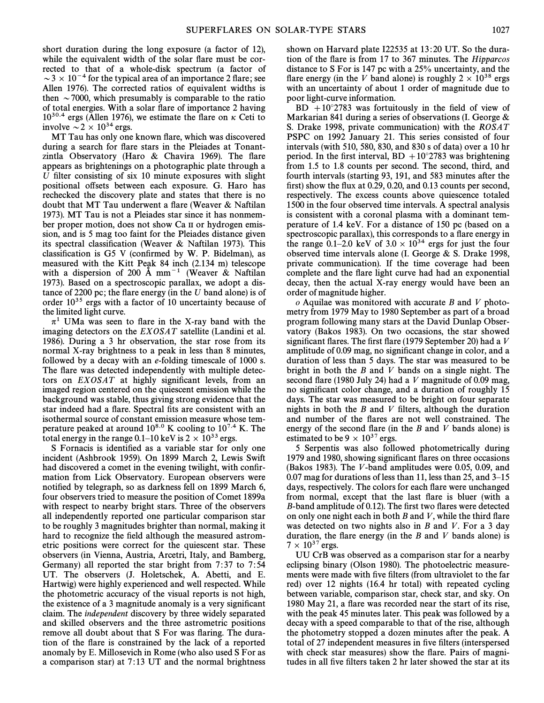short duration during the long exposure (a factor of 12), while the equivalent width of the solar flare must be corrected to that of a whole-disk spectrum (a factor of  $\sim$  3  $\times$  10<sup>-4</sup> for the typical area of an importance 2 flare; see Allen 1976). The corrected ratios of equivalent widths is then  $\sim$  7000, which presumably is comparable to the ratio of total energies. With a solar flare of importance 2 having  $10^{30.4}$  ergs (Allen 1976), we estimate the flare on  $\kappa$  Ceti to involve  $\sim 2 \times 10^{34}$  ergs.

MT Tau has only one known flare, which was discovered during a search for flare stars in the Pleiades at Tonantzintla Observatory (Haro  $&$  Chavira 1969). The flare appears as brightenings on a photographic plate through a U filter consisting of six 10 minute exposures with slight positional offsets between each exposure. G. Haro has rechecked the discovery plate and states that there is no doubt that MT Tau underwent a flare (Weaver  $\&$  Naftilan 1973). MT Tau is not a Pleiades star since it has nonmember proper motion, does not show Ca II or hydrogen emission, and is 5 mag too faint for the Pleiades distance given its spectral classification (Weaver & Naftilan 1973). This classification is G5 V (confirmed by W. P. Bidelman), as measured with the Kitt Peak 84 inch (2.134 m) telescope with a dispersion of 200 Å mm<sup>-1</sup> (Weaver & Naftilan 1973). Based on a spectroscopic parallax, we adopt a distance of 2200 pc; the flare energy (in the  $U$  band alone) is of order 1035 ergs with a factor of 10 uncertainty because of the limited light curve.

 $\pi^1$  UMa was seen to flare in the X-ray band with the imaging detectors on the EXOSAT satellite (Landini et al. 1986). During a 3 hr observation, the star rose from its normal X-ray brightness to a peak in less than 8 minutes, followed by a decay with an e-folding timescale of 1000 s. The flare was detected independently with multiple detectors on  $EXOSAT$  at highly significant levels, from an imaged region centered on the quiescent emission while the background was stable, thus giving strong evidence that the star indeed had a flare. Spectral fits are consistent with an isothermal source of constant emission measure whose temperature peaked at around  $10^{8.0}$  K cooling to  $10^{7.4}$  K. The total energy in the range 0.1–10 keV is  $2 \times 10^{33}$  ergs.

S Fornacis is identified as a variable star for only one incident (Ashbrook 1959). On 1899 March 2, Lewis Swift had discovered a comet in the evening twilight, with confirmation from Lick Observatory. European observers were notified by telegraph, so as darkness fell on 1899 March 6, four observers tried to measure the position of Comet 1899a with respect to nearby bright stars. Three of the observers all independently reported one particular comparison star to be roughly 3 magnitudes brighter than normal, making it hard to recognize the field although the measured astrometric positions were correct for the quiescent star. These observers (in Vienna, Austria, Arcetri, Italy, and Bamberg, Germany) all reported the star bright from 7:37 to 7:54 UT. The observers (J. Holetschek, A. Abetti, and E. Hartwig) were highly experienced and well respected. While the photometric accuracy of the visual reports is not high, the existence of a 3 magnitude anomaly is a very significant claim. The independent discovery by three widely separated and skilled observers and the three astrometric positions remove all doubt about that S For was flaring. The duration of the flare is constrained by the lack of a reported anomaly by E. Millosevich in Rome (who also used S For as a comparison star) at 7 : 13 UT and the normal brightness shown on Harvard plate I22535 at 13:20 UT. So the duration of the flare is from 17 to 367 minutes. The *Hipparcos* distance to S For is 147 pc with a 25% uncertainty, and the flare energy (in the V band alone) is roughly  $2 \times 10^{38}$  ergs with an uncertainty of about 1 order of magnitude due to poor light-curve information.

BD  $+10^{\circ}2783$  was fortuitously in the field of view of Markarian 841 during a series of observations (I. George & S. Drake 1998, private communication) with the ROSAT PSPC on 1992 January 21. This series consisted of four intervals (with 510, 580, 830, and 830 s of data) over a 10 hr period. In the first interval, BD  $+10^{\circ}2783$  was brightening from 1.5 to 1.8 counts per second. The second, third, and fourth intervals (starting 93, 191, and 583 minutes after the first) show the flux at 0.29, 0.20, and 0.13 counts per second, respectively. The excess counts above quiescence totaled 1500 in the four observed time intervals. A spectral analysis is consistent with a coronal plasma with a dominant temperature of 1.4 keV. For a distance of 150 pc (based on a spectroscopic parallax), this corresponds to a flare energy in the range 0.1–2.0 keV of  $3.0 \times 10^{34}$  ergs for just the four observed time intervals alone (I. George & S. Drake 1998, private communication). If the time coverage had been complete and the flare light curve had had an exponential decay, then the actual X-ray energy would have been an order of magnitude higher.

 $o$  Aquilae was monitored with accurate B and V photometry from 1979 May to 1980 September as part of a broad program following many stars at the David Dunlap Observatory (Bakos 1983). On two occasions, the star showed significant flares. The first flare (1979 September 20) had a  $V$ amplitude of 0.09 mag, no significant change in color, and a duration of less than 5 days. The star was measured to be bright in both the  $B$  and  $V$  bands on a single night. The second flare (1980 July 24) had a  $V$  magnitude of 0.09 mag, no significant color change, and a duration of roughly 15 days. The star was measured to be bright on four separate nights in both the  $B$  and  $V$  filters, although the duration and number of the flares are not well constrained. The energy of the second flare (in the  $B$  and  $V$  bands alone) is estimated to be 9  $\times$  10<sup>37</sup> ergs.

5 Serpentis was also followed photometrically during 1979 and 1980, showing significant flares on three occasions (Bakos 1983). The V -band amplitudes were 0.05, 0.09, and 0.07 mag for durations of less than 11, less than 25, and  $3-15$ days, respectively. The colors for each flare were unchanged from normal, except that the last flare is bluer (with a B-band amplitude of 0.12). The first two flares were detected on only one night each in both  $B$  and  $V$ , while the third flare was detected on two nights also in  $B$  and  $V$ . For a 3 day duration, the flare energy (in the  $B$  and  $V$  bands alone) is  $7 \times 10^{37}$  ergs.

UU CrB was observed as a comparison star for a nearby eclipsing binary (Olson 1980). The photoelectric measurements were made with five filters (from ultraviolet to the far red) over 12 nights (16.4 hr total) with repeated cycling between variable, comparison star, check star, and sky. On 1980 May 21, a flare was recorded near the start of its rise, with the peak 45 minutes later. This peak was followed by a decay with a speed comparable to that of the rise, although the photometry stopped a dozen minutes after the peak. A total of 27 independent measures in five filters (interspersed with check star measures) show the flare. Pairs of magnitudes in all five filters taken 2 hr later showed the star at its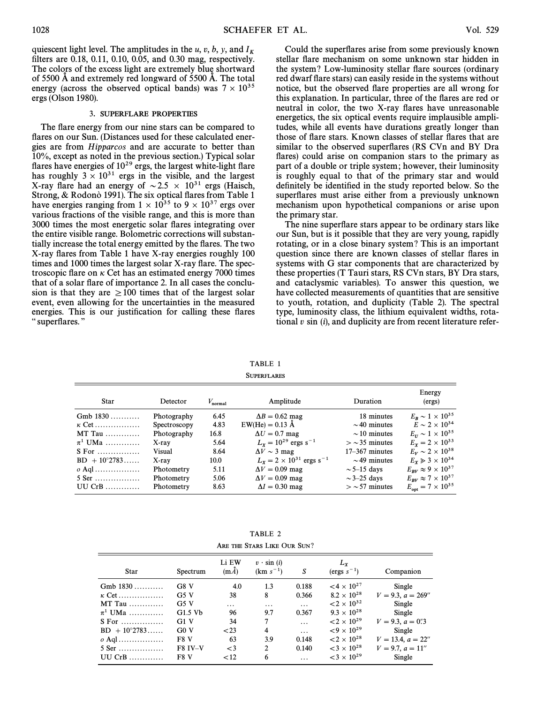quiescent light level. The amplitudes in the u, v, b, y, and  $I_K$ filters are  $0.18$ ,  $0.11$ ,  $0.10$ ,  $0.05$ , and  $0.30$  mag, respectively. The colors of the excess light are extremely blue shortward of 5500  $\AA$  and extremely red longward of 5500  $\AA$ . The total energy (across the observed optical bands) was  $7 \times 10^{35}$ ergs (Olson 1980).

#### 3. SUPERFLARE PROPERTIES

The flare energy from our nine stars can be compared to flares on our Sun. (Distances used for these calculated energies are from Hipparcos and are accurate to better than 10%, except as noted in the previous section.) Typical solar flares have energies of  $10^{29}$  ergs, the largest white-light flare has roughly  $3 \times 10^{31}$  ergs in the visible, and the largest X-ray flare had an energy of  $\sim$  2.5  $\times$  10<sup>31</sup> ergs (Haisch, Strong, & Rodono` 1991). The six optical flares from Table 1 have energies ranging from  $1 \times 10^{35}$  to 9  $\times 10^{37}$  ergs over various fractions of the visible range, and this is more than 3000 times the most energetic solar flares integrating over the entire visible range. Bolometric corrections will substantially increase the total energy emitted by the flares. The two X-ray flares from Table 1 have X-ray energies roughly 100 times and 1000 times the largest solar X-ray flare. The spectroscopic flare on  $\kappa$  Cet has an estimated energy 7000 times that of a solar flare of importance 2. In all cases the conclusion is that they are  $\geq 100$  times that of the largest solar event, even allowing for the uncertainties in the measured energies. This is our justification for calling these flares " superflares."

Could the superflares arise from some previously known stellar flare mechanism on some unknown star hidden in the system? Low-luminosity stellar flare sources (ordinary red dwarf flare stars) can easily reside in the systems without notice, but the observed flare properties are all wrong for this explanation. In particular, three of the Ñares are red or neutral in color, the two X-ray flares have unreasonable energetics, the six optical events require implausible amplitudes, while all events have durations greatly longer than those of flare stars. Known classes of stellar flares that are similar to the observed superflares (RS CVn and BY Dra flares) could arise on companion stars to the primary as part of a double or triple system ; however, their luminosity is roughly equal to that of the primary star and would definitely be identified in the study reported below. So the superflares must arise either from a previously unknown mechanism upon hypothetical companions or arise upon the primary star.

The nine superflare stars appear to be ordinary stars like our Sun, but is it possible that they are very young, rapidly rotating, or in a close binary system ? This is an important question since there are known classes of stellar flares in systems with G star components that are characterized by these properties (T Tauri stars, RS CVn stars, BY Dra stars, and cataclysmic variables). To answer this question, we have collected measurements of quantities that are sensitive to youth, rotation, and duplicity (Table 2). The spectral type, luminosity class, the lithium equivalent widths, rotational  $v \sin(i)$ , and duplicity are from recent literature refer-

TABLE 1 **SUPERFLARES** 

| Star                  | Detector     | $V_{\text{normal}}$ | Amplitude                                     | Duration          | Energy<br>(ergs)                  |
|-----------------------|--------------|---------------------|-----------------------------------------------|-------------------|-----------------------------------|
| Gmb $1830$            | Photography  | 6.45                | $\Delta B = 0.62$ mag                         | 18 minutes        | $E_{B} \sim 1 \times 10^{35}$     |
| $\kappa$ Cet          | Spectroscopy | 4.83                | $EW(He) = 0.13 \text{ Å}$                     | $\sim$ 40 minutes | $E \sim 2 \times 10^{34}$         |
| MT Tau $\ldots$       | Photography  | 16.8                | $\Delta U = 0.7$ mag                          | $\sim$ 10 minutes | $E_U \sim 1 \times 10^{35}$       |
| $\pi^1$ UMa           | X-ray        | 5.64                | $L_{\rm r} = 10^{29}$ ergs s <sup>-1</sup>    | $>$ ~ 35 minutes  | $E_x = 2 \times 10^{33}$          |
| $S$ For               | Visual       | 8.64                | $\Delta V \sim 3$ mag                         | $17-367$ minutes  | $E_v \sim 2 \times 10^{38}$       |
| $BD + 10^{\circ}2783$ | X-ray        | 10.0                | $L_v = 2 \times 10^{31}$ ergs s <sup>-1</sup> | $\sim$ 49 minutes | $E_x \ge 3 \times 10^{34}$        |
| $\alpha$ Aql          | Photometry   | 5.11                | $\Delta V = 0.09$ mag                         | $\sim$ 5–15 days  | $E_{BV} \approx 9 \times 10^{37}$ |
| $5$ Ser               | Photometry   | 5.06                | $\Delta V = 0.09$ mag                         | $\sim$ 3–25 days  | $E_{BV} \approx 7 \times 10^{37}$ |
| $IIICR$               | Photometry   | 8.63                | $\Delta I = 0.30$ mag                         | $>$ ~57 minutes   | $E_{\rm out} = 7 \times 10^{35}$  |

TABLE 2 ARE THE STARS LIKE OUR SUN?

| <b>Star</b>           | Spectrum       | Li EW<br>$(m\overline{A})$ | $v \cdot \sin(i)$<br>$(km s^{-1})$ | S        | $L_{\rm x}$<br>$\text{ (ergs } s^{-1}\text{)}$ | Companion                         |
|-----------------------|----------------|----------------------------|------------------------------------|----------|------------------------------------------------|-----------------------------------|
| Gmb $1830$            | G8V            | 4.0                        | 1.3                                | 0.188    | $< 4 \times 10^{27}$                           | Single                            |
| $\kappa$ Cet          | G5V            | 38                         | 8                                  | 0.366    | $8.2 \times 10^{28}$                           | $V = 9.3$ , $a = 269''$           |
| $MT$ Tau $\ldots$     | G5V            | .                          | .                                  | .        | $< 2 \times 10^{32}$                           | Single                            |
| $\pi^1$ UMa           | $G1.5$ Vb      | 96                         | 9.7                                | 0.367    | $9.3 \times 10^{28}$                           | Single                            |
| $S$ For               | G1V            | 34                         | 7                                  | $\cdots$ | ${2 \times 10^{29}}$                           | $V = 9.3, a = 0\overset{0.6}{.}3$ |
| $BD + 10^{\circ}2783$ | G0V            | $<$ 23                     | 4                                  | .        | $~10^{29}$                                     | Single                            |
| $\sigma$ Aql          | F8 V           | 63                         | 3.9                                | 0.148    | $< 2 \times 10^{28}$                           | $V = 13.4, a = 22"$               |
| $5$ Ser               | <b>F8 IV-V</b> | $\lt$ 3                    | $\overline{2}$                     | 0.140    | $<$ 3 $\times$ 10 <sup>28</sup>                | $V = 9.7, a = 11''$               |
| $UU$ CrB              | F8 V           | < 12                       | 6                                  | .        | $<$ 3 $\times$ 10 <sup>29</sup>                | Single                            |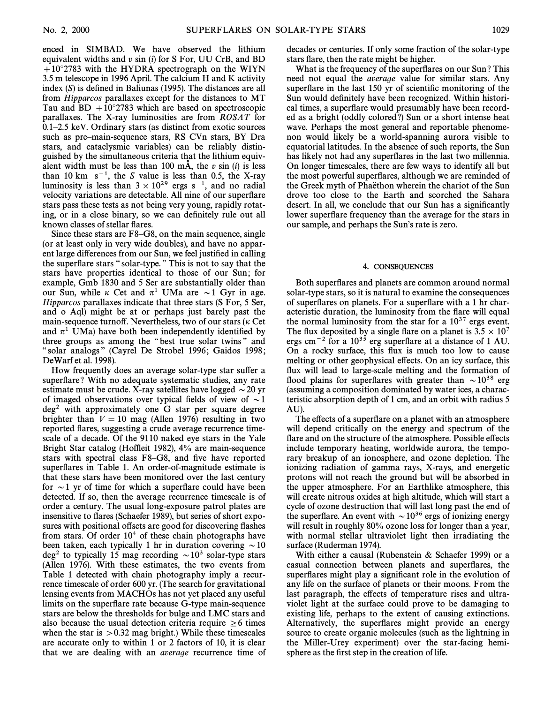enced in SIMBAD. We have observed the lithium equivalent widths and  $v \sin(i)$  for S For, UU CrB, and BD  $+10^{\circ}2783$  with the HYDRA spectrograph on the WIYN 3.5 m telescope in 1996 April. The calcium H and K activity index  $(S)$  is defined in Baliunas (1995). The distances are all from Hipparcos parallaxes except for the distances to MT Tau and BD  $+10°2783$  which are based on spectroscopic parallaxes. The X-ray luminosities are from ROSAT for  $0.1-2.5$  keV. Ordinary stars (as distinct from exotic sources such as pre-main-sequence stars, RS CVn stars, BY Dra stars, and cataclysmic variables) can be reliably distinguished by the simultaneous criteria that the lithium equivalent width must be less than 100 mÅ, the  $v \sin (i)$  is less than 10 km  $s^{-1}$ , the S value is less than 0.5, the X-ray luminosity is less than  $3 \times 10^{29}$  ergs s<sup>-1</sup>, and no radial velocity variations are detectable. All nine of our superflare stars pass these tests as not being very young, rapidly rotating, or in a close binary, so we can definitely rule out all known classes of stellar flares.

Since these stars are  $F8-G8$ , on the main sequence, single (or at least only in very wide doubles), and have no apparent large differences from our Sun, we feel justified in calling the superflare stars "solar-type." This is not to say that the stars have properties identical to those of our Sun; for example, Gmb 1830 and 5 Ser are substantially older than our Sun, while  $\kappa$  Cet and  $\pi^1$  UMa are  $\sim$  1 Gyr in age. Hipparcos parallaxes indicate that three stars (S For, 5 Ser, and o Aql) might be at or perhaps just barely past the main-sequence turnoff. Nevertheless, two of our stars ( $\kappa$  Cet and  $\pi^1$  UMa) have both been independently identified by three groups as among the "best true solar twins" and " solar analogs" (Cayrel De Strobel 1996; Gaidos 1998; DeWarf et al. 1998).

How frequently does an average solar-type star suffer a superflare? With no adequate systematic studies, any rate estimate must be crude. X-ray satellites have logged  $\sim$  20 yr of imaged observations over typical fields of view of  $\sim$  1  $deg<sup>2</sup>$  with approximately one G star per square degree brighter than  $V = 10$  mag (Allen 1976) resulting in two reported Ñares, suggesting a crude average recurrence timescale of a decade. Of the 9110 naked eye stars in the Yale Bright Star catalog (Hoffleit 1982), 4% are main-sequence stars with spectral class  $F8-G8$ , and five have reported superflares in Table 1. An order-of-magnitude estimate is that these stars have been monitored over the last century for  $\sim$  1 yr of time for which a superflare could have been detected. If so, then the average recurrence timescale is of order a century. The usual long-exposure patrol plates are insensitive to flares (Schaefer 1989), but series of short exposures with positional offsets are good for discovering flashes from stars. Of order  $10<sup>4</sup>$  of these chain photographs have been taken, each typically 1 hr in duration covering  $\sim$ 10  $\text{deg}^2$  to typically 15 mag recording  $\sim 10^3$  solar-type stars (Allen 1976). With these estimates, the two events from Table 1 detected with chain photography imply a recurrence timescale of order 600 yr. (The search for gravitational lensing events from MACHOs has not yet placed any useful limits on the superflare rate because G-type main-sequence stars are below the thresholds for bulge and LMC stars and also because the usual detection criteria require  $\geq 6$  times when the star is  $> 0.32$  mag bright.) While these timescales are accurate only to within 1 or 2 factors of 10, it is clear that we are dealing with an average recurrence time of decades or centuries. If only some fraction of the solar-type stars flare, then the rate might be higher.

What is the frequency of the superflares on our Sun? This need not equal the average value for similar stars. Any superflare in the last 150 yr of scientific monitoring of the Sun would definitely have been recognized. Within historical times, a superflare would presumably have been recorded as a bright (oddly colored ?) Sun or a short intense heat wave. Perhaps the most general and reportable phenomenon would likely be a world-spanning aurora visible to equatorial latitudes. In the absence of such reports, the Sun has likely not had any superflares in the last two millennia. On longer timescales, there are few ways to identify all but the most powerful superflares, although we are reminded of the Greek myth of Phaëthon wherein the chariot of the Sun drove too close to the Earth and scorched the Sahara desert. In all, we conclude that our Sun has a significantly lower superflare frequency than the average for the stars in our sample, and perhaps the Sun's rate is zero.

#### 4. CONSEQUENCES

Both superflares and planets are common around normal solar-type stars, so it is natural to examine the consequences of superflares on planets. For a superflare with a 1 hr characteristic duration, the luminosity from the flare will equal the normal luminosity from the star for a  $10^{37}$  ergs event. The flux deposited by a single flare on a planet is  $3.5 \times 10^7$ ergs cm<sup> $-2$ </sup> for a 10<sup>35</sup> erg superflare at a distance of 1 AU. On a rocky surface, this flux is much too low to cause melting or other geophysical effects. On an icy surface, this flux will lead to large-scale melting and the formation of flood plains for superflares with greater than  $\sim 10^{38}$  erg (assuming a composition dominated by water ices, a characteristic absorption depth of 1 cm, and an orbit with radius 5 AU).

The effects of a superflare on a planet with an atmosphere will depend critically on the energy and spectrum of the flare and on the structure of the atmosphere. Possible effects include temporary heating, worldwide aurora, the temporary breakup of an ionosphere, and ozone depletion. The ionizing radiation of gamma rays, X-rays, and energetic protons will not reach the ground but will be absorbed in the upper atmosphere. For an Earthlike atmosphere, this will create nitrous oxides at high altitude, which will start a cycle of ozone destruction that will last long past the end of the superflare. An event with  $\sim 10^{36}$  ergs of ionizing energy will result in roughly 80% ozone loss for longer than a year, with normal stellar ultraviolet light then irradiating the surface (Ruderman 1974).

With either a causal (Rubenstein & Schaefer 1999) or a casual connection between planets and superflares, the superflares might play a significant role in the evolution of any life on the surface of planets or their moons. From the last paragraph, the effects of temperature rises and ultraviolet light at the surface could prove to be damaging to existing life, perhaps to the extent of causing extinctions. Alternatively, the superflares might provide an energy source to create organic molecules (such as the lightning in the Miller-Urey experiment) over the star-facing hemisphere as the first step in the creation of life.